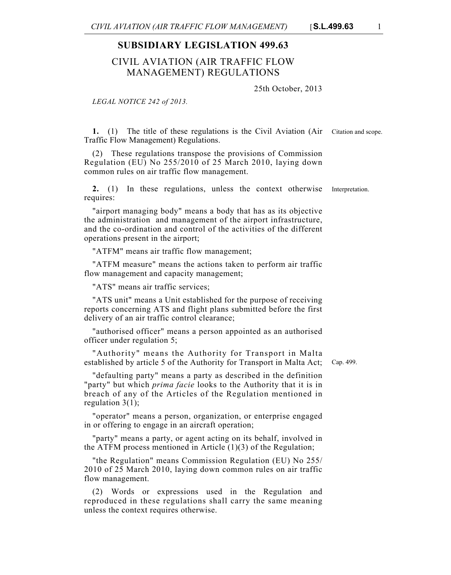## **SUBSIDIARY LEGISLATION 499.63**

## CIVIL AVIATION (AIR TRAFFIC FLOW MANAGEMENT) REGULATIONS

25th October, 2013

*LEGAL NOTICE 242 of 2013.*

**1.** (1) The title of these regulations is the Civil Aviation (Air Citation and scope. Traffic Flow Management) Regulations.

(2) These regulations transpose the provisions of Commission Regulation (EU) No 255/2010 of 25 March 2010, laying down common rules on air traffic flow management.

**2.** (1) In these regulations, unless the context otherwise Interpretation. requires:

"airport managing body" means a body that has as its objective the administration and management of the airport infrastructure, and the co-ordination and control of the activities of the different operations present in the airport;

"ATFM" means air traffic flow management;

"ATFM measure" means the actions taken to perform air traffic flow management and capacity management;

"ATS" means air traffic services;

"ATS unit" means a Unit established for the purpose of receiving reports concerning ATS and flight plans submitted before the first delivery of an air traffic control clearance;

"authorised officer" means a person appointed as an authorised officer under regulation 5;

"Authority" means the Authority for Transport in Malta established by article 5 of the Authority for Transport in Malta Act;

"defaulting party" means a party as described in the definition "party" but which *prima facie* looks to the Authority that it is in breach of any of the Articles of the Regulation mentioned in regulation  $3(1)$ ;

"operator" means a person, organization, or enterprise engaged in or offering to engage in an aircraft operation;

"party" means a party, or agent acting on its behalf, involved in the ATFM process mentioned in Article (1)(3) of the Regulation;

"the Regulation" means Commission Regulation (EU) No 255/ 2010 of 25 March 2010, laying down common rules on air traffic flow management.

(2) Words or expressions used in the Regulation and reproduced in these regulations shall carry the same meaning unless the context requires otherwise.

Cap. 499.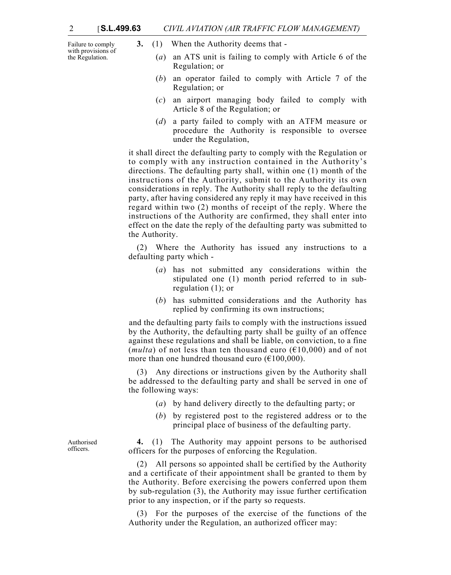Failure to comply with provisions of the Regulation.

- **3.** (1) When the Authority deems that
	- (*a*) an ATS unit is failing to comply with Article 6 of the Regulation; or
	- (*b*) an operator failed to comply with Article 7 of the Regulation; or
	- (*c*) an airport managing body failed to comply with Article 8 of the Regulation; or
	- (*d*) a party failed to comply with an ATFM measure or procedure the Authority is responsible to oversee under the Regulation,

it shall direct the defaulting party to comply with the Regulation or to comply with any instruction contained in the Authority's directions. The defaulting party shall, within one (1) month of the instructions of the Authority, submit to the Authority its own considerations in reply. The Authority shall reply to the defaulting party, after having considered any reply it may have received in this regard within two (2) months of receipt of the reply. Where the instructions of the Authority are confirmed, they shall enter into effect on the date the reply of the defaulting party was submitted to the Authority.

(2) Where the Authority has issued any instructions to a defaulting party which -

- (*a*) has not submitted any considerations within the stipulated one (1) month period referred to in subregulation (1); or
- (*b*) has submitted considerations and the Authority has replied by confirming its own instructions;

and the defaulting party fails to comply with the instructions issued by the Authority, the defaulting party shall be guilty of an offence against these regulations and shall be liable, on conviction, to a fine (*multa*) of not less than ten thousand euro ( $\epsilon$ 10,000) and of not more than one hundred thousand euro  $(\text{\textsterling}100,000)$ .

(3) Any directions or instructions given by the Authority shall be addressed to the defaulting party and shall be served in one of the following ways:

- (*a*) by hand delivery directly to the defaulting party; or
- (*b*) by registered post to the registered address or to the principal place of business of the defaulting party.

**4.** (1) The Authority may appoint persons to be authorised officers for the purposes of enforcing the Regulation.

(2) All persons so appointed shall be certified by the Authority and a certificate of their appointment shall be granted to them by the Authority. Before exercising the powers conferred upon them by sub-regulation (3), the Authority may issue further certification prior to any inspection, or if the party so requests.

(3) For the purposes of the exercise of the functions of the Authority under the Regulation, an authorized officer may:

Authorised officers.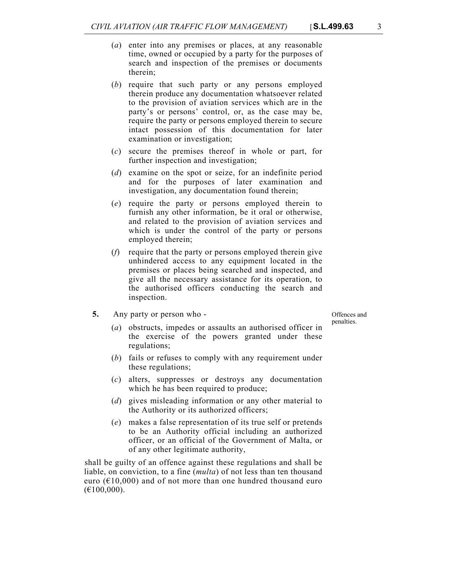- 
- (*a*) enter into any premises or places, at any reasonable time, owned or occupied by a party for the purposes of search and inspection of the premises or documents therein;
- (*b*) require that such party or any persons employed therein produce any documentation whatsoever related to the provision of aviation services which are in the party's or persons' control, or, as the case may be, require the party or persons employed therein to secure intact possession of this documentation for later examination or investigation;
- (*c*) secure the premises thereof in whole or part, for further inspection and investigation;
- (*d*) examine on the spot or seize, for an indefinite period and for the purposes of later examination and investigation, any documentation found therein;
- (*e*) require the party or persons employed therein to furnish any other information, be it oral or otherwise, and related to the provision of aviation services and which is under the control of the party or persons employed therein;
- (*f*) require that the party or persons employed therein give unhindered access to any equipment located in the premises or places being searched and inspected, and give all the necessary assistance for its operation, to the authorised officers conducting the search and inspection.
- **5.** Any party or person who -

Offences and penalties.

- (*a*) obstructs, impedes or assaults an authorised officer in the exercise of the powers granted under these regulations;
- (*b*) fails or refuses to comply with any requirement under these regulations;
- (*c*) alters, suppresses or destroys any documentation which he has been required to produce;
- (*d*) gives misleading information or any other material to the Authority or its authorized officers;
- (*e*) makes a false representation of its true self or pretends to be an Authority official including an authorized officer, or an official of the Government of Malta, or of any other legitimate authority,

shall be guilty of an offence against these regulations and shall be liable, on conviction, to a fine (*multa*) of not less than ten thousand euro ( $\epsilon$ 10,000) and of not more than one hundred thousand euro  $(E100,000)$ .